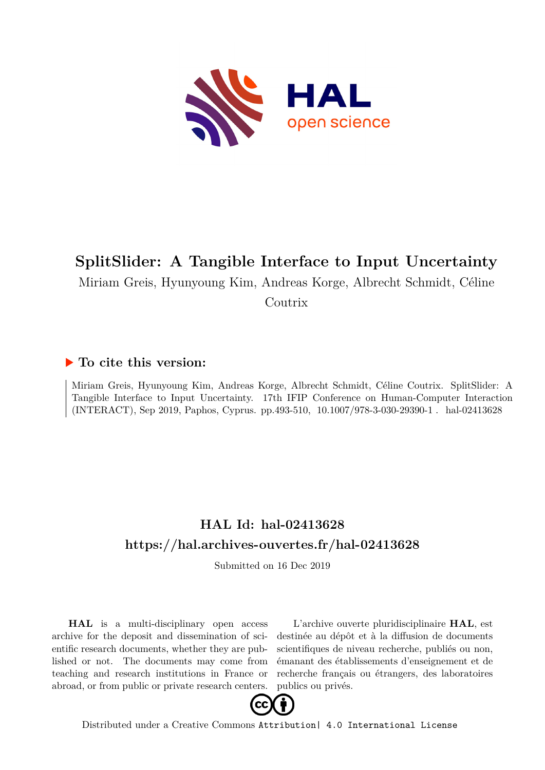

# **SplitSlider: A Tangible Interface to Input Uncertainty**

Miriam Greis, Hyunyoung Kim, Andreas Korge, Albrecht Schmidt, Céline

Coutrix

# **To cite this version:**

Miriam Greis, Hyunyoung Kim, Andreas Korge, Albrecht Schmidt, Céline Coutrix. SplitSlider: A Tangible Interface to Input Uncertainty. 17th IFIP Conference on Human-Computer Interaction (INTERACT), Sep 2019, Paphos, Cyprus. pp.493-510, 10.1007/978-3-030-29390-1. hal-02413628

# **HAL Id: hal-02413628 <https://hal.archives-ouvertes.fr/hal-02413628>**

Submitted on 16 Dec 2019

**HAL** is a multi-disciplinary open access archive for the deposit and dissemination of scientific research documents, whether they are published or not. The documents may come from teaching and research institutions in France or abroad, or from public or private research centers.

L'archive ouverte pluridisciplinaire **HAL**, est destinée au dépôt et à la diffusion de documents scientifiques de niveau recherche, publiés ou non, émanant des établissements d'enseignement et de recherche français ou étrangers, des laboratoires publics ou privés.



Distributed under a Creative Commons [Attribution| 4.0 International License](http://creativecommons.org/licenses/by/4.0/)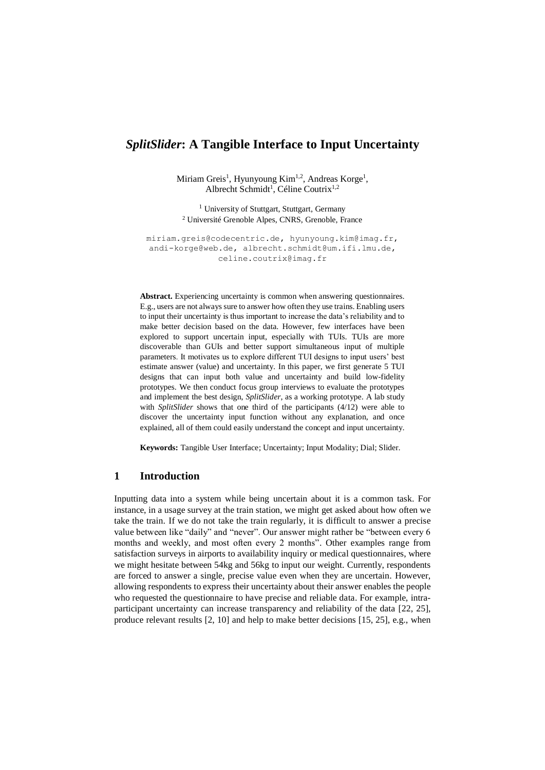# *SplitSlider***: A Tangible Interface to Input Uncertainty**

Miriam Greis<sup>1</sup>, Hyunyoung Kim<sup>1,2</sup>, Andreas Korge<sup>1</sup>, Albrecht Schmidt<sup>1</sup>, Céline Coutrix<sup>1,2</sup>

<sup>1</sup> University of Stuttgart, Stuttgart, Germany <sup>2</sup> Université Grenoble Alpes, CNRS, Grenoble, France

[miriam.greis@codecentric.de,](mailto:miriam.greis@codecentric.de) [hyunyoung.kim@imag.fr,](mailto:hyunyoung.kim@imag.fr) [andi-korge@web.de,](mailto:andi-korge@web.de) albrecht.schmidt@um.ifi.lmu.de, [celine.coutrix@imag.fr](mailto:celine.coutrix@imag.fr)

**Abstract.** Experiencing uncertainty is common when answering questionnaires. E.g., users are not always sure to answer how often they use trains. Enabling users to input their uncertainty is thus important to increase the data's reliability and to make better decision based on the data. However, few interfaces have been explored to support uncertain input, especially with TUIs. TUIs are more discoverable than GUIs and better support simultaneous input of multiple parameters. It motivates us to explore different TUI designs to input users' best estimate answer (value) and uncertainty. In this paper, we first generate 5 TUI designs that can input both value and uncertainty and build low-fidelity prototypes. We then conduct focus group interviews to evaluate the prototypes and implement the best design, *SplitSlider*, as a working prototype. A lab study with *SplitSlider* shows that one third of the participants (4/12) were able to discover the uncertainty input function without any explanation, and once explained, all of them could easily understand the concept and input uncertainty.

**Keywords:** Tangible User Interface; Uncertainty; Input Modality; Dial; Slider.

## **1 Introduction**

Inputting data into a system while being uncertain about it is a common task. For instance, in a usage survey at the train station, we might get asked about how often we take the train. If we do not take the train regularly, it is difficult to answer a precise value between like "daily" and "never". Our answer might rather be "between every 6 months and weekly, and most often every 2 months". Other examples range from satisfaction surveys in airports to availability inquiry or medical questionnaires, where we might hesitate between 54kg and 56kg to input our weight. Currently, respondents are forced to answer a single, precise value even when they are uncertain. However, allowing respondents to express their uncertainty about their answer enables the people who requested the questionnaire to have precise and reliable data. For example, intraparticipant uncertainty can increase transparency and reliability of the data [\[22,](#page-19-0) [25\]](#page-19-1), produce relevant results [\[2,](#page-17-0) [10\]](#page-18-0) and help to make better decisions [\[15,](#page-18-1) [25\]](#page-19-1), e.g., when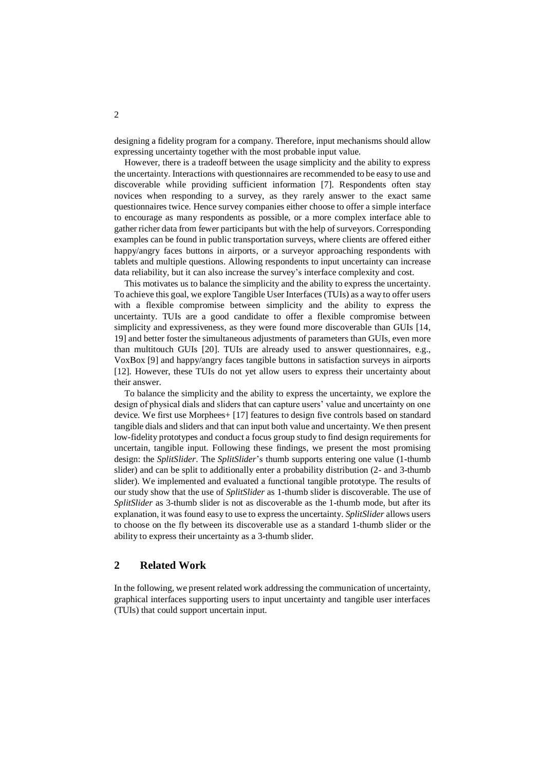designing a fidelity program for a company. Therefore, input mechanisms should allow expressing uncertainty together with the most probable input value.

However, there is a tradeoff between the usage simplicity and the ability to express the uncertainty. Interactions with questionnaires are recommended to be easy to use and discoverable while providing sufficient information [\[7\]](#page-17-1). Respondents often stay novices when responding to a survey, as they rarely answer to the exact same questionnaires twice. Hence survey companies either choose to offer a simple interface to encourage as many respondents as possible, or a more complex interface able to gather richer data from fewer participants but with the help of surveyors. Corresponding examples can be found in public transportation surveys, where clients are offered either happy/angry faces buttons in airports, or a surveyor approaching respondents with tablets and multiple questions. Allowing respondents to input uncertainty can increase data reliability, but it can also increase the survey's interface complexity and cost.

This motivates us to balance the simplicity and the ability to express the uncertainty. To achieve this goal, we explore Tangible User Interfaces (TUIs) as a way to offer users with a flexible compromise between simplicity and the ability to express the uncertainty. TUIs are a good candidate to offer a flexible compromise between simplicity and expressiveness, as they were found more discoverable than GUIs [\[14,](#page-18-2) [19\]](#page-19-2) and better foster the simultaneous adjustments of parameters than GUIs, even more than multitouch GUIs [\[20\]](#page-18-3). TUIs are already used to answer questionnaires, e.g., VoxBox [\[9\]](#page-18-4) and happy/angry faces tangible buttons in satisfaction surveys in airports [\[12\]](#page-18-5). However, these TUIs do not yet allow users to express their uncertainty about their answer.

To balance the simplicity and the ability to express the uncertainty, we explore the design of physical dials and sliders that can capture users' value and uncertainty on one device. We first use Morphees+ [\[17\]](#page-18-6) features to design five controls based on standard tangible dials and sliders and that can input both value and uncertainty. We then present low-fidelity prototypes and conduct a focus group study to find design requirements for uncertain, tangible input. Following these findings, we present the most promising design: the *SplitSlider*. The *SplitSlider*'s thumb supports entering one value (1-thumb slider) and can be split to additionally enter a probability distribution (2- and 3-thumb slider). We implemented and evaluated a functional tangible prototype. The results of our study show that the use of *SplitSlider* as 1-thumb slider is discoverable. The use of *SplitSlider* as 3-thumb slider is not as discoverable as the 1-thumb mode, but after its explanation, it was found easy to use to express the uncertainty. *SplitSlider* allows users to choose on the fly between its discoverable use as a standard 1-thumb slider or the ability to express their uncertainty as a 3-thumb slider.

# **2 Related Work**

In the following, we present related work addressing the communication of uncertainty, graphical interfaces supporting users to input uncertainty and tangible user interfaces (TUIs) that could support uncertain input.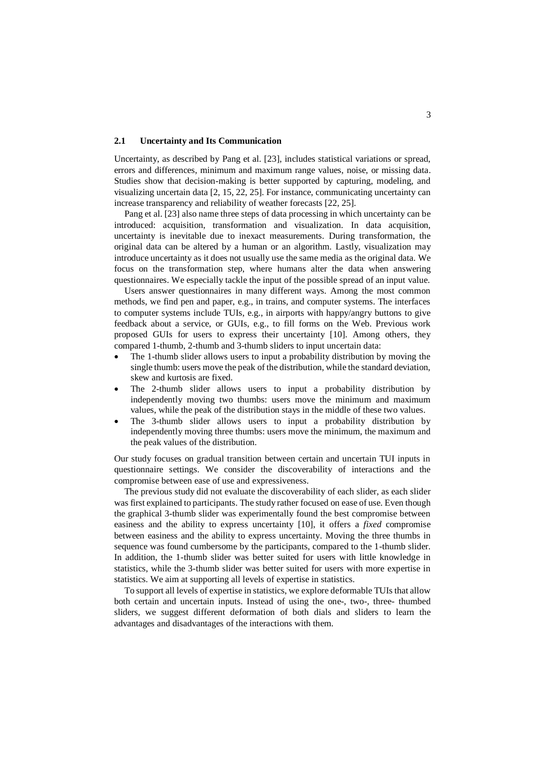#### **2.1 Uncertainty and Its Communication**

Uncertainty, as described by Pang et al. [\[23\]](#page-19-3), includes statistical variations or spread, errors and differences, minimum and maximum range values, noise, or missing data. Studies show that decision-making is better supported by capturing, modeling, and visualizing uncertain data [\[2,](#page-17-0) [15,](#page-18-1) [22,](#page-19-0) [25\]](#page-19-1). For instance, communicating uncertainty can increase transparency and reliability of weather forecasts [\[22,](#page-19-0) [25\]](#page-19-1).

Pang et al. [\[23\]](#page-19-3) also name three steps of data processing in which uncertainty can be introduced: acquisition, transformation and visualization. In data acquisition, uncertainty is inevitable due to inexact measurements. During transformation, the original data can be altered by a human or an algorithm. Lastly, visualization may introduce uncertainty as it does not usually use the same media as the original data. We focus on the transformation step, where humans alter the data when answering questionnaires. We especially tackle the input of the possible spread of an input value.

Users answer questionnaires in many different ways. Among the most common methods, we find pen and paper, e.g., in trains, and computer systems. The interfaces to computer systems include TUIs, e.g., in airports with happy/angry buttons to give feedback about a service, or GUIs, e.g., to fill forms on the Web. Previous work proposed GUIs for users to express their uncertainty [\[10\]](#page-18-0). Among others, they compared 1-thumb, 2-thumb and 3-thumb sliders to input uncertain data:

- The 1-thumb slider allows users to input a probability distribution by moving the single thumb: users move the peak of the distribution, while the standard deviation, skew and kurtosis are fixed.
- The 2-thumb slider allows users to input a probability distribution by independently moving two thumbs: users move the minimum and maximum values, while the peak of the distribution stays in the middle of these two values.
- The 3-thumb slider allows users to input a probability distribution by independently moving three thumbs: users move the minimum, the maximum and the peak values of the distribution.

Our study focuses on gradual transition between certain and uncertain TUI inputs in questionnaire settings. We consider the discoverability of interactions and the compromise between ease of use and expressiveness.

The previous study did not evaluate the discoverability of each slider, as each slider was first explained to participants. The study rather focused on ease of use. Even though the graphical 3-thumb slider was experimentally found the best compromise between easiness and the ability to express uncertainty [\[10\]](#page-18-0), it offers a *fixed* compromise between easiness and the ability to express uncertainty. Moving the three thumbs in sequence was found cumbersome by the participants, compared to the 1-thumb slider. In addition, the 1-thumb slider was better suited for users with little knowledge in statistics, while the 3-thumb slider was better suited for users with more expertise in statistics. We aim at supporting all levels of expertise in statistics.

To support all levels of expertise in statistics, we explore deformable TUIs that allow both certain and uncertain inputs. Instead of using the one-, two-, three- thumbed sliders, we suggest different deformation of both dials and sliders to learn the advantages and disadvantages of the interactions with them.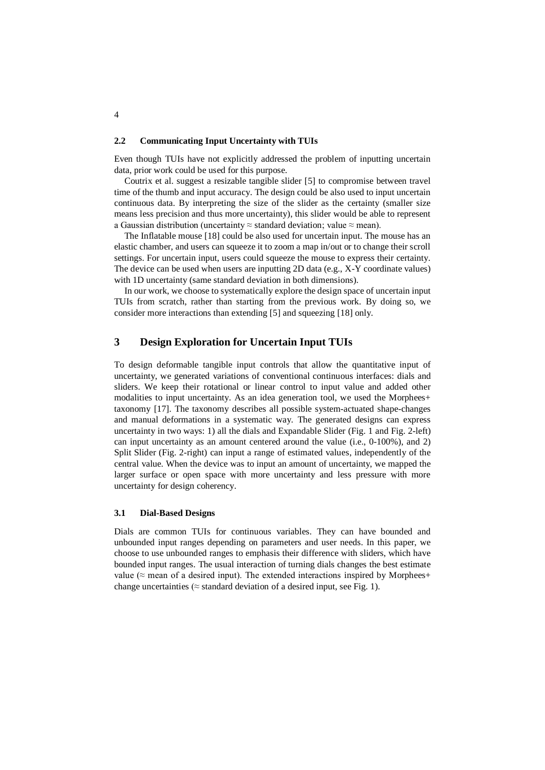#### **2.2 Communicating Input Uncertainty with TUIs**

Even though TUIs have not explicitly addressed the problem of inputting uncertain data, prior work could be used for this purpose.

Coutrix et al. suggest a resizable tangible slider [\[5\]](#page-17-2) to compromise between travel time of the thumb and input accuracy. The design could be also used to input uncertain continuous data. By interpreting the size of the slider as the certainty (smaller size means less precision and thus more uncertainty), this slider would be able to represent a Gaussian distribution (uncertainty  $\approx$  standard deviation; value  $\approx$  mean).

The Inflatable mouse [\[18\]](#page-18-7) could be also used for uncertain input. The mouse has an elastic chamber, and users can squeeze it to zoom a map in/out or to change their scroll settings. For uncertain input, users could squeeze the mouse to express their certainty. The device can be used when users are inputting 2D data (e.g., X-Y coordinate values) with 1D uncertainty (same standard deviation in both dimensions).

In our work, we choose to systematically explore the design space of uncertain input TUIs from scratch, rather than starting from the previous work. By doing so, we consider more interactions than extending [\[5\]](#page-17-2) and squeezing [\[18\]](#page-18-7) only.

# **3 Design Exploration for Uncertain Input TUIs**

To design deformable tangible input controls that allow the quantitative input of uncertainty, we generated variations of conventional continuous interfaces: dials and sliders. We keep their rotational or linear control to input value and added other modalities to input uncertainty. As an idea generation tool, we used the Morphees+ taxonomy [\[17\]](#page-18-6). The taxonomy describes all possible system-actuated shape-changes and manual deformations in a systematic way. The generated designs can express uncertainty in two ways: 1) all the dials and Expandable Slider [\(Fig. 1](#page-5-0) and [Fig. 2-](#page-6-0)left) can input uncertainty as an amount centered around the value (i.e., 0-100%), and 2) Split Slider [\(Fig. 2-](#page-6-0)right) can input a range of estimated values, independently of the central value. When the device was to input an amount of uncertainty, we mapped the larger surface or open space with more uncertainty and less pressure with more uncertainty for design coherency.

#### **3.1 Dial-Based Designs**

Dials are common TUIs for continuous variables. They can have bounded and unbounded input ranges depending on parameters and user needs. In this paper, we choose to use unbounded ranges to emphasis their difference with sliders, which have bounded input ranges. The usual interaction of turning dials changes the best estimate value ( $\approx$  mean of a desired input). The extended interactions inspired by Morphees+ change uncertainties ( $\approx$  standard deviation of a desired input, see [Fig. 1\)](#page-5-0).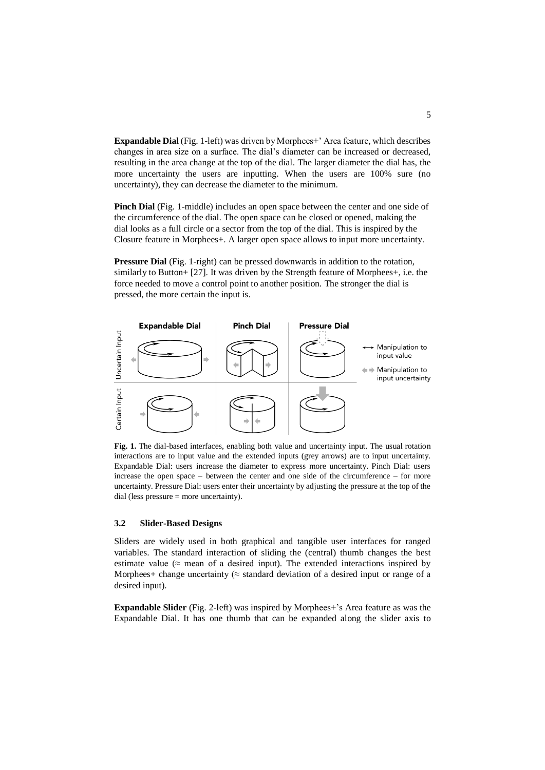**Expandable Dial** [\(Fig. 1-](#page-5-0)left) was driven by Morphees<sup>+2</sup> Area feature, which describes changes in area size on a surface. The dial's diameter can be increased or decreased, resulting in the area change at the top of the dial. The larger diameter the dial has, the more uncertainty the users are inputting. When the users are 100% sure (no uncertainty), they can decrease the diameter to the minimum.

**Pinch Dial** [\(Fig. 1-](#page-5-0)middle) includes an open space between the center and one side of the circumference of the dial. The open space can be closed or opened, making the dial looks as a full circle or a sector from the top of the dial. This is inspired by the Closure feature in Morphees+. A larger open space allows to input more uncertainty.

**Pressure Dial** [\(Fig. 1-](#page-5-0)right) can be pressed downwards in addition to the rotation, similarly to Button+ [\[27\]](#page-19-4). It was driven by the Strength feature of Morphees+, i.e. the force needed to move a control point to another position. The stronger the dial is pressed, the more certain the input is.



<span id="page-5-0"></span>**Fig. 1.** The dial-based interfaces, enabling both value and uncertainty input. The usual rotation interactions are to input value and the extended inputs (grey arrows) are to input uncertainty. Expandable Dial: users increase the diameter to express more uncertainty. Pinch Dial: users increase the open space – between the center and one side of the circumference – for more uncertainty. Pressure Dial: users enter their uncertainty by adjusting the pressure at the top of the dial (less pressure = more uncertainty).

#### **3.2 Slider-Based Designs**

Sliders are widely used in both graphical and tangible user interfaces for ranged variables. The standard interaction of sliding the (central) thumb changes the best estimate value ( $\approx$  mean of a desired input). The extended interactions inspired by Morphees+ change uncertainty ( $\approx$  standard deviation of a desired input or range of a desired input).

**Expandable Slider** [\(Fig. 2-](#page-6-0)left) was inspired by Morphees+'s Area feature as was the Expandable Dial. It has one thumb that can be expanded along the slider axis to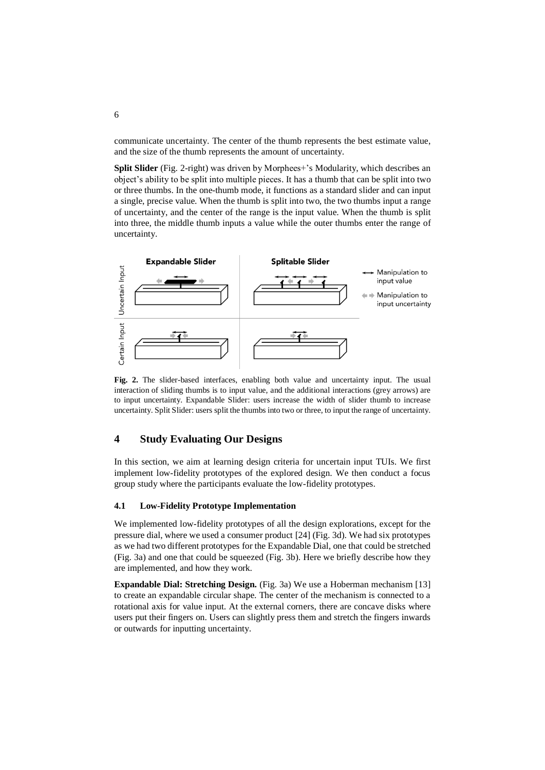communicate uncertainty. The center of the thumb represents the best estimate value, and the size of the thumb represents the amount of uncertainty.

**Split Slider** [\(Fig. 2-](#page-6-0)right) was driven by Morphees+'s Modularity, which describes an object's ability to be split into multiple pieces. It has a thumb that can be split into two or three thumbs. In the one-thumb mode, it functions as a standard slider and can input a single, precise value. When the thumb is split into two, the two thumbs input a range of uncertainty, and the center of the range is the input value. When the thumb is split into three, the middle thumb inputs a value while the outer thumbs enter the range of uncertainty.



<span id="page-6-0"></span>**Fig. 2.** The slider-based interfaces, enabling both value and uncertainty input. The usual interaction of sliding thumbs is to input value, and the additional interactions (grey arrows) are to input uncertainty. Expandable Slider: users increase the width of slider thumb to increase uncertainty. Split Slider: users split the thumbs into two or three, to input the range of uncertainty.

# **4 Study Evaluating Our Designs**

In this section, we aim at learning design criteria for uncertain input TUIs. We first implement low-fidelity prototypes of the explored design. We then conduct a focus group study where the participants evaluate the low-fidelity prototypes.

#### **4.1 Low-Fidelity Prototype Implementation**

We implemented low-fidelity prototypes of all the design explorations, except for the pressure dial, where we used a consumer product [\[24\]](#page-19-5) [\(Fig. 3d](#page-7-0)). We had six prototypes as we had two different prototypes for the Expandable Dial, one that could be stretched [\(Fig. 3a](#page-7-0)) and one that could be squeezed [\(Fig. 3b](#page-7-0)). Here we briefly describe how they are implemented, and how they work.

**Expandable Dial: Stretching Design.** [\(Fig. 3a](#page-7-0)) We use a Hoberman mechanism [\[13\]](#page-18-8) to create an expandable circular shape. The center of the mechanism is connected to a rotational axis for value input. At the external corners, there are concave disks where users put their fingers on. Users can slightly press them and stretch the fingers inwards or outwards for inputting uncertainty.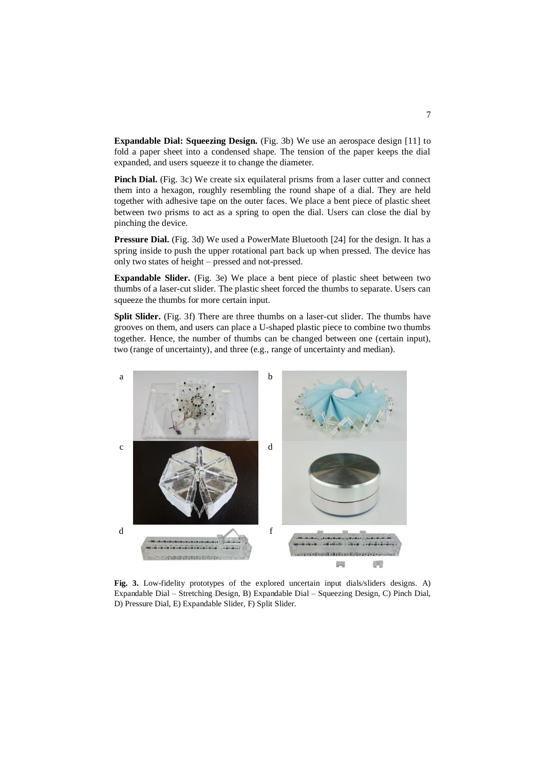**Expandable Dial: Squeezing Design.** [\(Fig. 3b](#page-7-0)) We use an aerospace design [\[11\]](#page-18-9) to fold a paper sheet into a condensed shape. The tension of the paper keeps the dial expanded, and users squeeze it to change the diameter.

**Pinch Dial.** [\(Fig. 3c](#page-7-0)) We create six equilateral prisms from a laser cutter and connect them into a hexagon, roughly resembling the round shape of a dial. They are held together with adhesive tape on the outer faces. We place a bent piece of plastic sheet between two prisms to act as a spring to open the dial. Users can close the dial by pinching the device.

**Pressure Dial.** [\(Fig. 3d](#page-7-0)) We used a PowerMate Bluetooth [\[24\]](#page-19-5) for the design. It has a spring inside to push the upper rotational part back up when pressed. The device has only two states of height – pressed and not-pressed.

**Expandable Slider.** [\(Fig. 3e](#page-7-0)) We place a bent piece of plastic sheet between two thumbs of a laser-cut slider. The plastic sheet forced the thumbs to separate. Users can squeeze the thumbs for more certain input.

**Split Slider.** [\(Fig. 3f](#page-7-0)) There are three thumbs on a laser-cut slider. The thumbs have grooves on them, and users can place a U-shaped plastic piece to combine two thumbs together. Hence, the number of thumbs can be changed between one (certain input), two (range of uncertainty), and three (e.g., range of uncertainty and median).



<span id="page-7-0"></span>**Fig. 3.** Low-fidelity prototypes of the explored uncertain input dials/sliders designs. A) Expandable Dial – Stretching Design, B) Expandable Dial – Squeezing Design, C) Pinch Dial, D) Pressure Dial, E) Expandable Slider, F) Split Slider.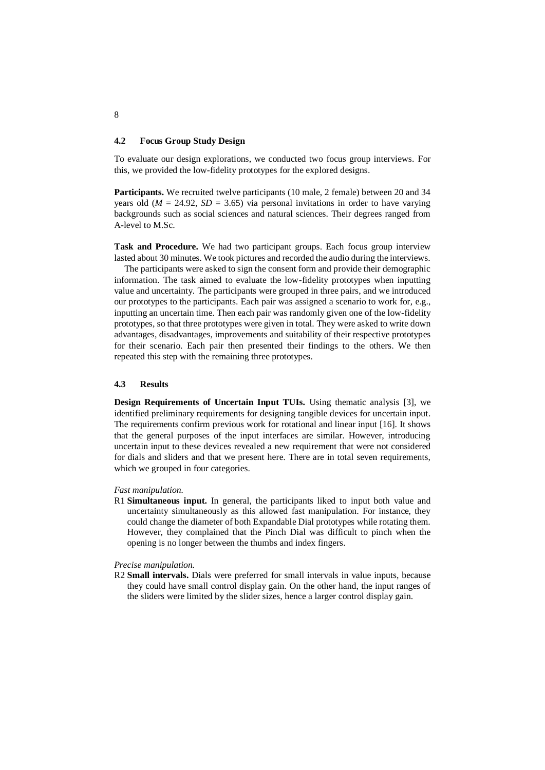#### **4.2 Focus Group Study Design**

To evaluate our design explorations, we conducted two focus group interviews. For this, we provided the low-fidelity prototypes for the explored designs.

**Participants.** We recruited twelve participants (10 male, 2 female) between 20 and 34 years old ( $M = 24.92$ ,  $SD = 3.65$ ) via personal invitations in order to have varying backgrounds such as social sciences and natural sciences. Their degrees ranged from A-level to M.Sc.

Task and Procedure. We had two participant groups. Each focus group interview lasted about 30 minutes. We took pictures and recorded the audio during the interviews.

The participants were asked to sign the consent form and provide their demographic information. The task aimed to evaluate the low-fidelity prototypes when inputting value and uncertainty. The participants were grouped in three pairs, and we introduced our prototypes to the participants. Each pair was assigned a scenario to work for, e.g., inputting an uncertain time. Then each pair was randomly given one of the low-fidelity prototypes, so that three prototypes were given in total. They were asked to write down advantages, disadvantages, improvements and suitability of their respective prototypes for their scenario. Each pair then presented their findings to the others. We then repeated this step with the remaining three prototypes.

#### **4.3 Results**

**Design Requirements of Uncertain Input TUIs.** Using thematic analysis [\[3\]](#page-17-3), we identified preliminary requirements for designing tangible devices for uncertain input. The requirements confirm previous work for rotational and linear input [\[16\]](#page-18-10). It shows that the general purposes of the input interfaces are similar. However, introducing uncertain input to these devices revealed a new requirement that were not considered for dials and sliders and that we present here. There are in total seven requirements, which we grouped in four categories.

#### *Fast manipulation.*

R1 **Simultaneous input.** In general, the participants liked to input both value and uncertainty simultaneously as this allowed fast manipulation. For instance, they could change the diameter of both Expandable Dial prototypes while rotating them. However, they complained that the Pinch Dial was difficult to pinch when the opening is no longer between the thumbs and index fingers.

#### *Precise manipulation.*

R2 **Small intervals.** Dials were preferred for small intervals in value inputs, because they could have small control display gain. On the other hand, the input ranges of the sliders were limited by the slider sizes, hence a larger control display gain.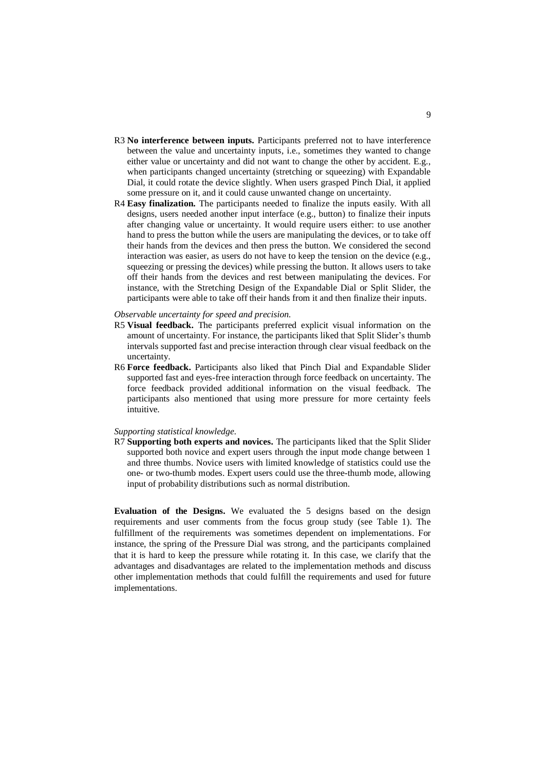- R3 **No interference between inputs.** Participants preferred not to have interference between the value and uncertainty inputs, i.e., sometimes they wanted to change either value or uncertainty and did not want to change the other by accident. E.g., when participants changed uncertainty (stretching or squeezing) with Expandable Dial, it could rotate the device slightly. When users grasped Pinch Dial, it applied some pressure on it, and it could cause unwanted change on uncertainty.
- R4 **Easy finalization.** The participants needed to finalize the inputs easily. With all designs, users needed another input interface (e.g., button) to finalize their inputs after changing value or uncertainty. It would require users either: to use another hand to press the button while the users are manipulating the devices, or to take off their hands from the devices and then press the button. We considered the second interaction was easier, as users do not have to keep the tension on the device (e.g., squeezing or pressing the devices) while pressing the button. It allows users to take off their hands from the devices and rest between manipulating the devices. For instance, with the Stretching Design of the Expandable Dial or Split Slider, the participants were able to take off their hands from it and then finalize their inputs.

#### *Observable uncertainty for speed and precision.*

- R5 **Visual feedback.** The participants preferred explicit visual information on the amount of uncertainty. For instance, the participants liked that Split Slider's thumb intervals supported fast and precise interaction through clear visual feedback on the uncertainty.
- R6 **Force feedback.** Participants also liked that Pinch Dial and Expandable Slider supported fast and eyes-free interaction through force feedback on uncertainty. The force feedback provided additional information on the visual feedback. The participants also mentioned that using more pressure for more certainty feels intuitive.

#### *Supporting statistical knowledge.*

R7 **Supporting both experts and novices.** The participants liked that the Split Slider supported both novice and expert users through the input mode change between 1 and three thumbs. Novice users with limited knowledge of statistics could use the one- or two-thumb modes. Expert users could use the three-thumb mode, allowing input of probability distributions such as normal distribution.

**Evaluation of the Designs.** We evaluated the 5 designs based on the design requirements and user comments from the focus group study (see [Table 1\)](#page-10-0). The fulfillment of the requirements was sometimes dependent on implementations. For instance, the spring of the Pressure Dial was strong, and the participants complained that it is hard to keep the pressure while rotating it. In this case, we clarify that the advantages and disadvantages are related to the implementation methods and discuss other implementation methods that could fulfill the requirements and used for future implementations.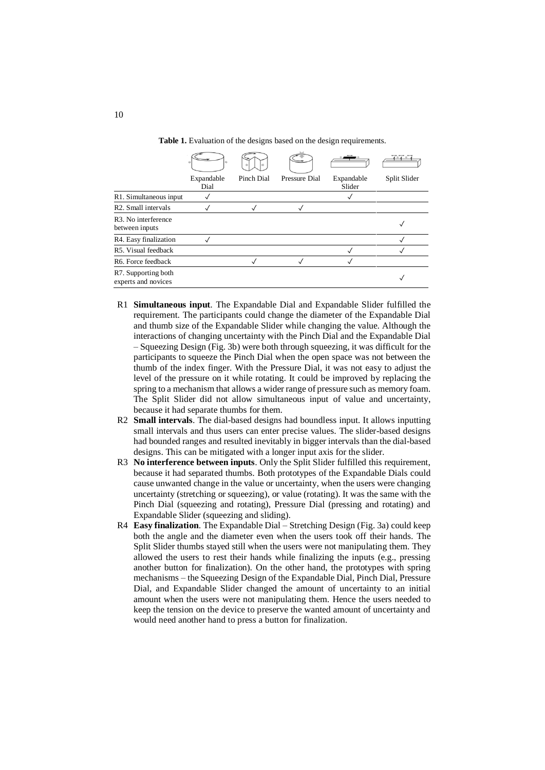**Table 1.** Evaluation of the designs based on the design requirements.

<span id="page-10-0"></span>

|                                                    | Expandable<br>Dial | Pinch Dial | Pressure Dial | Expandable<br>Slider | Split Slider |
|----------------------------------------------------|--------------------|------------|---------------|----------------------|--------------|
| R1. Simultaneous input                             |                    |            |               |                      |              |
| R <sub>2</sub> . Small intervals                   |                    |            |               |                      |              |
| R <sub>3</sub> . No interference<br>between inputs |                    |            |               |                      |              |
| R4. Easy finalization                              |                    |            |               |                      |              |
| R5. Visual feedback                                |                    |            |               |                      |              |
| R <sub>6</sub> . Force feedback                    |                    |            |               |                      |              |
| R7. Supporting both<br>experts and novices         |                    |            |               |                      |              |

- R1 **Simultaneous input**. The Expandable Dial and Expandable Slider fulfilled the requirement. The participants could change the diameter of the Expandable Dial and thumb size of the Expandable Slider while changing the value. Although the interactions of changing uncertainty with the Pinch Dial and the Expandable Dial – Squeezing Design [\(Fig. 3b](#page-7-0)) were both through squeezing, it was difficult for the participants to squeeze the Pinch Dial when the open space was not between the thumb of the index finger. With the Pressure Dial, it was not easy to adjust the level of the pressure on it while rotating. It could be improved by replacing the spring to a mechanism that allows a wider range of pressure such as memory foam. The Split Slider did not allow simultaneous input of value and uncertainty, because it had separate thumbs for them.
- R2 **Small intervals**. The dial-based designs had boundless input. It allows inputting small intervals and thus users can enter precise values. The slider-based designs had bounded ranges and resulted inevitably in bigger intervals than the dial-based designs. This can be mitigated with a longer input axis for the slider.
- R3 **No interference between inputs**. Only the Split Slider fulfilled this requirement, because it had separated thumbs. Both prototypes of the Expandable Dials could cause unwanted change in the value or uncertainty, when the users were changing uncertainty (stretching or squeezing), or value (rotating). It was the same with the Pinch Dial (squeezing and rotating), Pressure Dial (pressing and rotating) and Expandable Slider (squeezing and sliding).
- R4 **Easy finalization**. The Expandable Dial Stretching Design [\(Fig. 3a](#page-7-0)) could keep both the angle and the diameter even when the users took off their hands. The Split Slider thumbs stayed still when the users were not manipulating them. They allowed the users to rest their hands while finalizing the inputs (e.g., pressing another button for finalization). On the other hand, the prototypes with spring mechanisms – the Squeezing Design of the Expandable Dial, Pinch Dial, Pressure Dial, and Expandable Slider changed the amount of uncertainty to an initial amount when the users were not manipulating them. Hence the users needed to keep the tension on the device to preserve the wanted amount of uncertainty and would need another hand to press a button for finalization.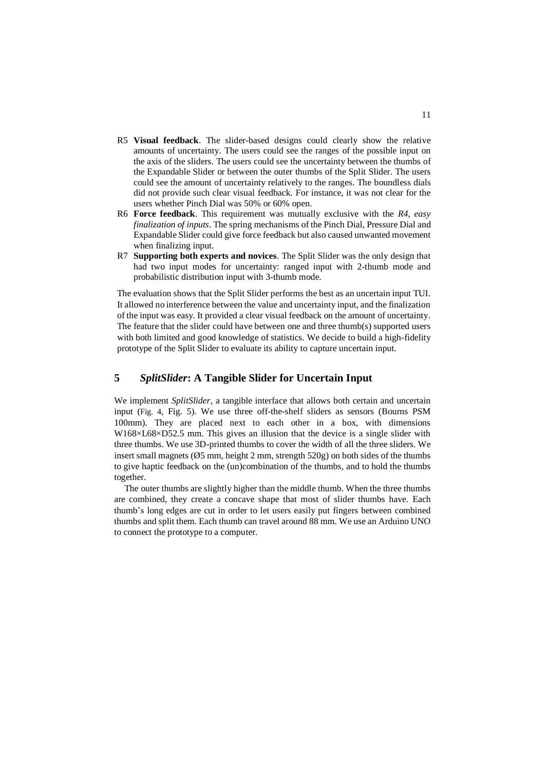- R5 **Visual feedback**. The slider-based designs could clearly show the relative amounts of uncertainty. The users could see the ranges of the possible input on the axis of the sliders. The users could see the uncertainty between the thumbs of the Expandable Slider or between the outer thumbs of the Split Slider. The users could see the amount of uncertainty relatively to the ranges. The boundless dials did not provide such clear visual feedback. For instance, it was not clear for the users whether Pinch Dial was 50% or 60% open.
- R6 **Force feedback**. This requirement was mutually exclusive with the *R4, easy finalization of inputs*. The spring mechanisms of the Pinch Dial, Pressure Dial and Expandable Slider could give force feedback but also caused unwanted movement when finalizing input.
- R7 **Supporting both experts and novices**. The Split Slider was the only design that had two input modes for uncertainty: ranged input with 2-thumb mode and probabilistic distribution input with 3-thumb mode.

The evaluation shows that the Split Slider performs the best as an uncertain input TUI. It allowed no interference between the value and uncertainty input, and the finalization of the input was easy. It provided a clear visual feedback on the amount of uncertainty. The feature that the slider could have between one and three thumb(s) supported users with both limited and good knowledge of statistics. We decide to build a high-fidelity prototype of the Split Slider to evaluate its ability to capture uncertain input.

## **5** *SplitSlider***: A Tangible Slider for Uncertain Input**

We implement *SplitSlider*, a tangible interface that allows both certain and uncertain input ([Fig.](#page-12-0) 4, [Fig. 5\)](#page-12-1). We use three off-the-shelf sliders as sensors (Bourns PSM 100mm). They are placed next to each other in a box, with dimensions W168×L68×D52.5 mm. This gives an illusion that the device is a single slider with three thumbs. We use 3D-printed thumbs to cover the width of all the three sliders. We insert small magnets (Ø5 mm, height 2 mm, strength 520g) on both sides of the thumbs to give haptic feedback on the (un)combination of the thumbs, and to hold the thumbs together.

The outer thumbs are slightly higher than the middle thumb. When the three thumbs are combined, they create a concave shape that most of slider thumbs have. Each thumb's long edges are cut in order to let users easily put fingers between combined thumbs and split them. Each thumb can travel around 88 mm. We use an Arduino UNO to connect the prototype to a computer.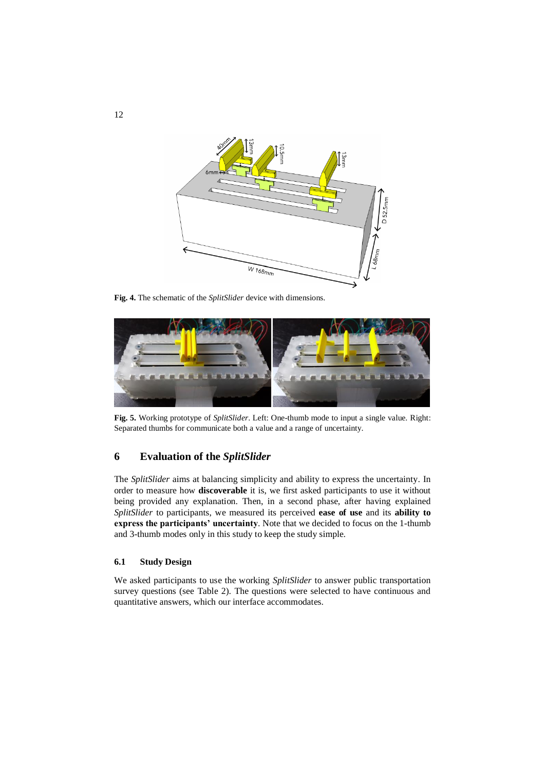

<span id="page-12-0"></span>**Fig. 4.** The schematic of the *SplitSlider* device with dimensions.

![](_page_12_Picture_2.jpeg)

**Fig. 5.** Working prototype of *SplitSlider*. Left: One-thumb mode to input a single value. Right: Separated thumbs for communicate both a value and a range of uncertainty.

# <span id="page-12-1"></span>**6 Evaluation of the** *SplitSlider*

The *SplitSlider* aims at balancing simplicity and ability to express the uncertainty. In order to measure how **discoverable** it is, we first asked participants to use it without being provided any explanation. Then, in a second phase, after having explained *SplitSlider* to participants, we measured its perceived **ease of use** and its **ability to express the participants' uncertainty**. Note that we decided to focus on the 1-thumb and 3-thumb modes only in this study to keep the study simple.

### **6.1 Study Design**

We asked participants to use the working *SplitSlider* to answer public transportation survey questions (see [Table 2\)](#page-13-0). The questions were selected to have continuous and quantitative answers, which our interface accommodates.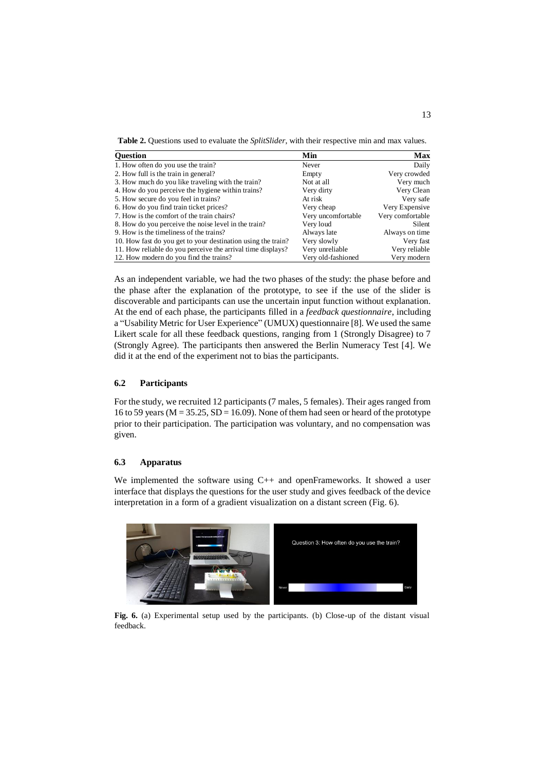<span id="page-13-0"></span>**Table 2.** Questions used to evaluate the *SplitSlider*, with their respective min and max values.

| <b>Ouestion</b>                                              | Min                | Max              |
|--------------------------------------------------------------|--------------------|------------------|
| 1. How often do you use the train?                           | Never              | Daily            |
| 2. How full is the train in general?                         | Empty              | Very crowded     |
| 3. How much do you like traveling with the train?            | Not at all         | Very much        |
| 4. How do you perceive the hygiene within trains?            | Very dirty         | Very Clean       |
| 5. How secure do you feel in trains?                         | At risk            | Very safe        |
| 6. How do you find train ticket prices?                      | Very cheap         | Very Expensive   |
| 7. How is the comfort of the train chairs?                   | Very uncomfortable | Very comfortable |
| 8. How do you perceive the noise level in the train?         | Very loud          | Silent           |
| 9. How is the timeliness of the trains?                      | Always late        | Always on time   |
| 10. How fast do you get to your destination using the train? | Very slowly        | Very fast        |
| 11. How reliable do you perceive the arrival time displays?  | Very unreliable    | Very reliable    |
| 12. How modern do you find the trains?                       | Very old-fashioned | Very modern      |

As an independent variable, we had the two phases of the study: the phase before and the phase after the explanation of the prototype, to see if the use of the slider is discoverable and participants can use the uncertain input function without explanation. At the end of each phase, the participants filled in a *feedback questionnaire*, including a "Usability Metric for User Experience" (UMUX) questionnaire [\[8\]](#page-18-11). We used the same Likert scale for all these feedback questions, ranging from 1 (Strongly Disagree) to 7 (Strongly Agree). The participants then answered the Berlin Numeracy Test [\[4\]](#page-17-4). We did it at the end of the experiment not to bias the participants.

### **6.2 Participants**

For the study, we recruited 12 participants (7 males, 5 females). Their ages ranged from 16 to 59 years ( $M = 35.25$ ,  $SD = 16.09$ ). None of them had seen or heard of the prototype prior to their participation. The participation was voluntary, and no compensation was given.

#### **6.3 Apparatus**

We implemented the software using C++ and openFrameworks. It showed a user interface that displays the questions for the user study and gives feedback of the device interpretation in a form of a gradient visualization on a distant screen [\(Fig. 6\)](#page-13-1).

<span id="page-13-1"></span>![](_page_13_Picture_7.jpeg)

Fig. 6. (a) Experimental setup used by the participants. (b) Close-up of the distant visual feedback.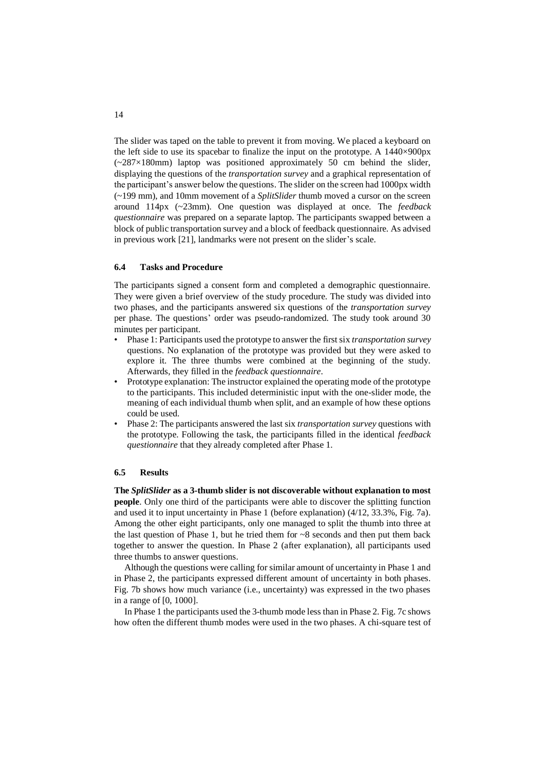The slider was taped on the table to prevent it from moving. We placed a keyboard on the left side to use its spacebar to finalize the input on the prototype. A  $1440\times900px$ (~287×180mm) laptop was positioned approximately 50 cm behind the slider, displaying the questions of the *transportation survey* and a graphical representation of the participant's answer below the questions. The slider on the screen had 1000px width (~199 mm), and 10mm movement of a *SplitSlider* thumb moved a cursor on the screen around 114px (~23mm). One question was displayed at once. The *feedback questionnaire* was prepared on a separate laptop. The participants swapped between a block of public transportation survey and a block of feedback questionnaire. As advised in previous work [\[21\]](#page-18-12), landmarks were not present on the slider's scale.

#### **6.4 Tasks and Procedure**

The participants signed a consent form and completed a demographic questionnaire. They were given a brief overview of the study procedure. The study was divided into two phases, and the participants answered six questions of the *transportation survey* per phase. The questions' order was pseudo-randomized. The study took around 30 minutes per participant.

- Phase 1: Participants used the prototype to answer the first six *transportation survey* questions. No explanation of the prototype was provided but they were asked to explore it. The three thumbs were combined at the beginning of the study. Afterwards, they filled in the *feedback questionnaire*.
- Prototype explanation: The instructor explained the operating mode of the prototype to the participants. This included deterministic input with the one-slider mode, the meaning of each individual thumb when split, and an example of how these options could be used.
- Phase 2: The participants answered the last six *transportation survey* questions with the prototype. Following the task, the participants filled in the identical *feedback questionnaire* that they already completed after Phase 1.

#### **6.5 Results**

**The** *SplitSlider* **as a 3-thumb slider is not discoverable without explanationto most people**. Only one third of the participants were able to discover the splitting function and used it to input uncertainty in Phase 1 (before explanation) (4/12, 33.3%, [Fig. 7a](#page-15-0)). Among the other eight participants, only one managed to split the thumb into three at the last question of Phase 1, but he tried them for ~8 seconds and then put them back together to answer the question. In Phase 2 (after explanation), all participants used three thumbs to answer questions.

Although the questions were calling for similar amount of uncertainty in Phase 1 and in Phase 2, the participants expressed different amount of uncertainty in both phases. [Fig. 7b](#page-15-0) shows how much variance (i.e., uncertainty) was expressed in the two phases in a range of [0, 1000].

In Phase 1 the participants used the 3-thumb mode less than inPhase 2[. Fig. 7c](#page-15-0) shows how often the different thumb modes were used in the two phases. A chi-square test of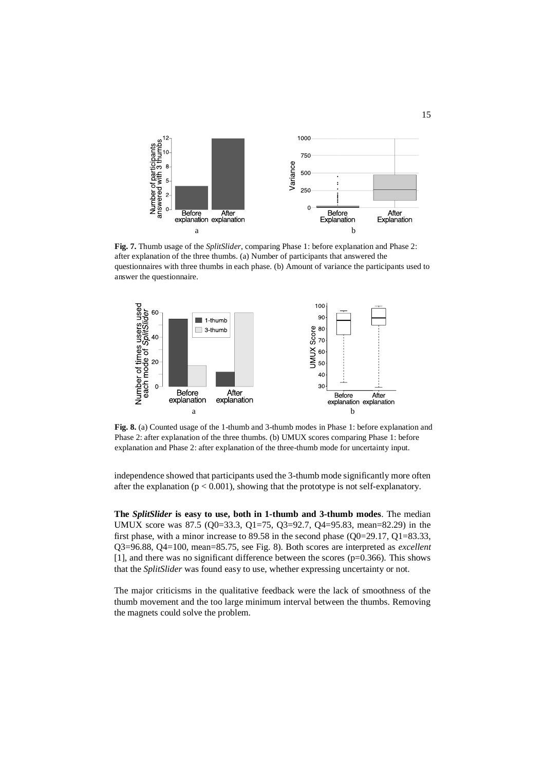![](_page_15_Figure_0.jpeg)

<span id="page-15-0"></span>**Fig. 7.** Thumb usage of the *SplitSlider*, comparing Phase 1: before explanation and Phase 2: after explanation of the three thumbs. (a) Number of participants that answered the questionnaires with three thumbs in each phase. (b) Amount of variance the participants used to answer the questionnaire.

![](_page_15_Figure_2.jpeg)

<span id="page-15-1"></span>**Fig. 8.** (a) Counted usage of the 1-thumb and 3-thumb modes in Phase 1: before explanation and Phase 2: after explanation of the three thumbs. (b) UMUX scores comparing Phase 1: before explanation and Phase 2: after explanation of the three-thumb mode for uncertainty input.

independence showed that participants used the 3-thumb mode significantly more often after the explanation ( $p < 0.001$ ), showing that the prototype is not self-explanatory.

**The** *SplitSlider* **is easy to use, both in 1-thumb and 3-thumb modes**. The median UMUX score was 87.5 (Q0=33.3, Q1=75, Q3=92.7, Q4=95.83, mean=82.29) in the first phase, with a minor increase to  $89.58$  in the second phase  $(00=29.17, 01=83.33, 0.01=83.33)$ Q3=96.88, Q4=100, mean=85.75, see [Fig. 8\)](#page-15-1). Both scores are interpreted as *excellent*  $[1]$ , and there was no significant difference between the scores ( $p=0.366$ ). This shows that the *SplitSlider* was found easy to use, whether expressing uncertainty or not.

The major criticisms in the qualitative feedback were the lack of smoothness of the thumb movement and the too large minimum interval between the thumbs. Removing the magnets could solve the problem.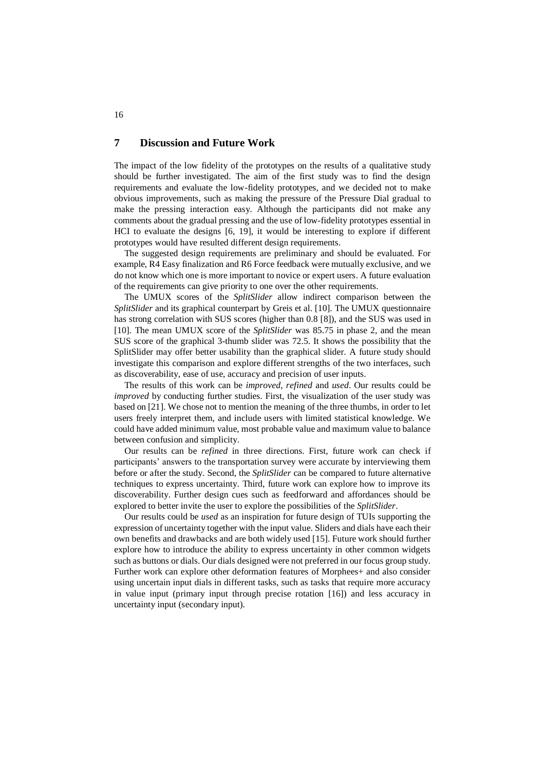## **7 Discussion and Future Work**

The impact of the low fidelity of the prototypes on the results of a qualitative study should be further investigated. The aim of the first study was to find the design requirements and evaluate the low-fidelity prototypes, and we decided not to make obvious improvements, such as making the pressure of the Pressure Dial gradual to make the pressing interaction easy. Although the participants did not make any comments about the gradual pressing and the use of low-fidelity prototypes essential in HCI to evaluate the designs [\[6,](#page-17-6) [19\]](#page-18-13), it would be interesting to explore if different prototypes would have resulted different design requirements.

The suggested design requirements are preliminary and should be evaluated. For example, R4 Easy finalization and R6 Force feedback were mutually exclusive, and we do not know which one is more important to novice or expert users. A future evaluation of the requirements can give priority to one over the other requirements.

The UMUX scores of the *SplitSlider* allow indirect comparison between the *SplitSlider* and its graphical counterpart by Greis et al. [\[10\]](#page-18-0). The UMUX questionnaire has strong correlation with SUS scores (higher than 0.8 [\[8\]](#page-18-11)), and the SUS was used in [\[10\]](#page-18-0). The mean UMUX score of the *SplitSlider* was 85.75 in phase 2, and the mean SUS score of the graphical 3-thumb slider was 72.5. It shows the possibility that the SplitSlider may offer better usability than the graphical slider. A future study should investigate this comparison and explore different strengths of the two interfaces, such as discoverability, ease of use, accuracy and precision of user inputs.

The results of this work can be *improved*, *refined* and *used*. Our results could be *improved* by conducting further studies. First, the visualization of the user study was based on [\[21\]](#page-18-12). We chose not to mention the meaning of the three thumbs, in order to let users freely interpret them, and include users with limited statistical knowledge. We could have added minimum value, most probable value and maximum value to balance between confusion and simplicity.

Our results can be *refined* in three directions. First, future work can check if participants' answers to the transportation survey were accurate by interviewing them before or after the study. Second, the *SplitSlider* can be compared to future alternative techniques to express uncertainty. Third, future work can explore how to improve its discoverability. Further design cues such as feedforward and affordances should be explored to better invite the user to explore the possibilities of the *SplitSlider*.

Our results could be *used* as an inspiration for future design of TUIs supporting the expression of uncertainty together with the input value. Sliders and dials have each their own benefits and drawbacks and are both widely used [\[15\]](#page-18-1). Future work should further explore how to introduce the ability to express uncertainty in other common widgets such as buttons or dials. Our dials designed were not preferred in our focus group study. Further work can explore other deformation features of Morphees+ and also consider using uncertain input dials in different tasks, such as tasks that require more accuracy in value input (primary input through precise rotation [\[16\]](#page-18-10)) and less accuracy in uncertainty input (secondary input).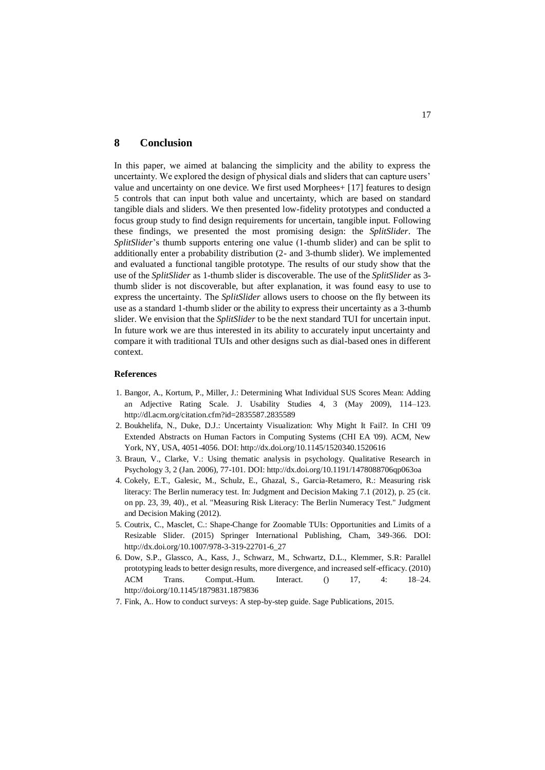## **8 Conclusion**

In this paper, we aimed at balancing the simplicity and the ability to express the uncertainty. We explored the design of physical dials and sliders that can capture users' value and uncertainty on one device. We first used Morphees+ [\[17\]](#page-18-6) features to design 5 controls that can input both value and uncertainty, which are based on standard tangible dials and sliders. We then presented low-fidelity prototypes and conducted a focus group study to find design requirements for uncertain, tangible input. Following these findings, we presented the most promising design: the *SplitSlider*. The *SplitSlider*'s thumb supports entering one value (1-thumb slider) and can be split to additionally enter a probability distribution (2- and 3-thumb slider). We implemented and evaluated a functional tangible prototype. The results of our study show that the use of the *SplitSlider* as 1-thumb slider is discoverable. The use of the *SplitSlider* as 3 thumb slider is not discoverable, but after explanation, it was found easy to use to express the uncertainty. The *SplitSlider* allows users to choose on the fly between its use as a standard 1-thumb slider or the ability to express their uncertainty as a 3-thumb slider. We envision that the *SplitSlider* to be the next standard TUI for uncertain input. In future work we are thus interested in its ability to accurately input uncertainty and compare it with traditional TUIs and other designs such as dial-based ones in different context.

#### **References**

- <span id="page-17-5"></span>1. Bangor, A., Kortum, P., Miller, J.: Determining What Individual SUS Scores Mean: Adding an Adjective Rating Scale. J. Usability Studies 4, 3 (May 2009), 114–123. http://dl.acm.org/citation.cfm?id=2835587.2835589
- <span id="page-17-0"></span>2. Boukhelifa, N., Duke, D.J.: Uncertainty Visualization: Why Might It Fail?. In CHI '09 Extended Abstracts on Human Factors in Computing Systems (CHI EA '09). ACM, New York, NY, USA, 4051-4056. DOI: http://dx.doi.org/10.1145/1520340.1520616
- <span id="page-17-3"></span>3. Braun, V., Clarke, V.: Using thematic analysis in psychology. Qualitative Research in Psychology 3, 2 (Jan. 2006), 77-101. DOI:<http://dx.doi.org/10.1191/1478088706qp063oa>
- <span id="page-17-4"></span>4. Cokely, E.T., Galesic, M., Schulz, E., Ghazal, S., Garcia-Retamero, R.: Measuring risk literacy: The Berlin numeracy test. In: Judgment and Decision Making 7.1 (2012), p. 25 (cit. on pp. 23, 39, 40)., et al. "Measuring Risk Literacy: The Berlin Numeracy Test." Judgment and Decision Making (2012).
- <span id="page-17-2"></span>5. Coutrix, C., Masclet, C.: Shape-Change for Zoomable TUIs: Opportunities and Limits of a Resizable Slider. (2015) Springer International Publishing, Cham, 349-366. DOI: http://dx.doi.org/10.1007/978-3-319-22701-6\_27
- <span id="page-17-6"></span>6. Dow, S.P., Glassco, A., Kass, J., Schwarz, M., Schwartz, D.L., Klemmer, S.R: Parallel prototyping leads to better design results, more divergence, and increased self-efficacy. (2010) ACM Trans. Comput.-Hum. Interact. () 17, 4: 18–24. <http://doi.org/10.1145/1879831.1879836>
- <span id="page-17-1"></span>7. Fink, A.. How to conduct surveys: A step-by-step guide. Sage Publications, 2015.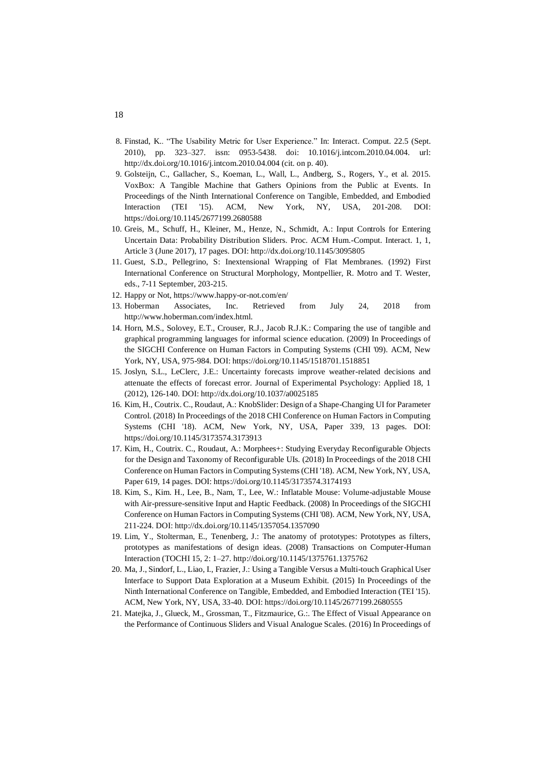- <span id="page-18-11"></span>8. Finstad, K.. "The Usability Metric for User Experience." In: Interact. Comput. 22.5 (Sept. 2010), pp. 323–327. issn: 0953-5438. doi: 10.1016/j.intcom.2010.04.004. url: http://dx.doi.org/10.1016/j.intcom.2010.04.004 (cit. on p. 40).
- <span id="page-18-4"></span>9. Golsteijn, C., Gallacher, S., Koeman, L., Wall, L., Andberg, S., Rogers, Y., et al. 2015. VoxBox: A Tangible Machine that Gathers Opinions from the Public at Events. In Proceedings of the Ninth International Conference on Tangible, Embedded, and Embodied Interaction (TEI '15). ACM, New York, NY, USA, 201-208. DOI: https://doi.org/10.1145/2677199.2680588
- <span id="page-18-0"></span>10. Greis, M., Schuff, H., Kleiner, M., Henze, N., Schmidt, A.: Input Controls for Entering Uncertain Data: Probability Distribution Sliders. Proc. ACM Hum.-Comput. Interact. 1, 1, Article 3 (June 2017), 17 pages. DOI: http://dx.doi.org/10.1145/3095805
- <span id="page-18-9"></span>11. Guest, S.D., Pellegrino, S: Inextensional Wrapping of Flat Membranes. (1992) First International Conference on Structural Morphology, Montpellier, R. Motro and T. Wester, eds., 7-11 September, 203-215.
- <span id="page-18-5"></span>12. Happy or Not,<https://www.happy-or-not.com/en/>
- <span id="page-18-8"></span>13. Hoberman Associates, Inc. Retrieved from July 24, 2018 from http://www.hoberman.com/index.html.
- <span id="page-18-2"></span>14. Horn, M.S., Solovey, E.T., Crouser, R.J., Jacob R.J.K.: Comparing the use of tangible and graphical programming languages for informal science education. (2009) In Proceedings of the SIGCHI Conference on Human Factors in Computing Systems (CHI '09). ACM, New York, NY, USA, 975-984. DOI: https://doi.org/10.1145/1518701.1518851
- <span id="page-18-1"></span>15. Joslyn, S.L., LeClerc, J.E.: Uncertainty forecasts improve weather-related decisions and attenuate the effects of forecast error. Journal of Experimental Psychology: Applied 18, 1 (2012), 126-140. DOI: http://dx.doi.org/10.1037/a0025185
- <span id="page-18-10"></span>16. Kim, H., Coutrix. C., Roudaut, A.: KnobSlider: Design of a Shape-Changing UI for Parameter Control. (2018) In Proceedings of the 2018 CHI Conference on Human Factors in Computing Systems (CHI '18). ACM, New York, NY, USA, Paper 339, 13 pages. DOI: https://doi.org/10.1145/3173574.3173913
- <span id="page-18-6"></span>17. Kim, H., Coutrix. C., Roudaut, A.: Morphees+: Studying Everyday Reconfigurable Objects for the Design and Taxonomy of Reconfigurable UIs. (2018) In Proceedings of the 2018 CHI Conference on Human Factors in Computing Systems (CHI '18). ACM, New York, NY, USA, Paper 619, 14 pages. DOI: https://doi.org/10.1145/3173574.3174193
- <span id="page-18-7"></span>18. Kim, S., Kim. H., Lee, B., Nam, T., Lee, W.: Inflatable Mouse: Volume-adjustable Mouse with Air-pressure-sensitive Input and Haptic Feedback. (2008) In Proceedings of the SIGCHI Conference on Human Factors in Computing Systems (CHI '08). ACM, New York, NY, USA, 211-224. DOI[: http://dx.doi.org/10.1145/1357054.1357090](http://dx.doi.org/10.1145/1357054.1357090)
- <span id="page-18-13"></span>19. Lim, Y., Stolterman, E., Tenenberg, J.: The anatomy of prototypes: Prototypes as filters, prototypes as manifestations of design ideas. (2008) Transactions on Computer-Human Interaction (TOCHI 15, 2: 1–27. http://doi.org/10.1145/1375761.1375762
- <span id="page-18-3"></span>20. Ma, J., Sindorf, L., Liao, I., Frazier, J.: Using a Tangible Versus a Multi-touch Graphical User Interface to Support Data Exploration at a Museum Exhibit. (2015) In Proceedings of the Ninth International Conference on Tangible, Embedded, and Embodied Interaction (TEI '15). ACM, New York, NY, USA, 33-40. DOI: https://doi.org/10.1145/2677199.2680555
- <span id="page-18-12"></span>21. Matejka, J., Glueck, M., Grossman, T., Fitzmaurice, G.:. The Effect of Visual Appearance on the Performance of Continuous Sliders and Visual Analogue Scales. (2016) In Proceedings of